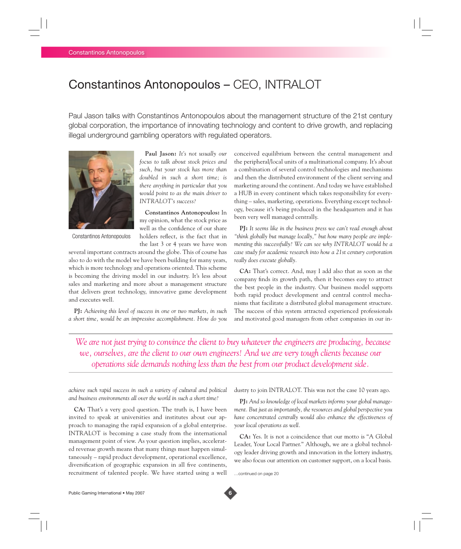## Constantinos Antonopoulos – CEO, INTRALOT

Paul Jason talks with Constantinos Antonopoulos about the management structure of the 21st century global corporation, the importance of innovating technology and content to drive growth, and replacing illegal underground gambling operators with regulated operators.



Constantinos Antonopoulos

**Paul Jason:** *It's not usually our focus to talk about stock prices and such, but your stock has more than doubled in such a short time; is there anything in particular that you would point to as the main driver to INTRALOT's success?*

**Constantinos Antonopoulos:** In my opinion, what the stock price as well as the confidence of our share holders reflect, is the fact that in the last 3 or 4 years we have won

several important contracts around the globe. This of course has also to do with the model we have been building for many years, which is more technology and operations oriented. This scheme is becoming the driving model in our industry. It's less about sales and marketing and more about a management structure that delivers great technology, innovative game development and executes well.

**PJ:** *Achieving this level of success in one or two markets, in such a short time, would be an impressive accomplishment. How do you*

conceived equilibrium between the central management and the peripheral/local units of a multinational company. It's about a combination of several control technologies and mechanisms and then the distributed environment of the client serving and marketing around the continent. And today we have established a HUB in every continent which takes responsibility for everything – sales, marketing, operations. Everything except technology, because it's being produced in the headquarters and it has been very well managed centrally.

**PJ:** *It seems like in the business press we can't read enough about "think globally but manage locally," but how many people are implementing this successfully? We can see why INTRALOT would be a case study for academic research into how a 21st century corporation really does execute globally.*

**CA:** That's correct. And, may I add also that as soon as the company finds its growth path, then it becomes easy to attract the best people in the industry. Our business model supports both rapid product development and central control mechanisms that facilitate a distributed global management structure. The success of this system attracted experienced professionals and motivated good managers from other companies in our in-

*We are not just trying to convince the client to buy whatever the engineers are producing, because we, ourselves, are the client to our own engineers! And we are very tough clients because our operations side demands nothing less than the best from our product development side.*

*achieve such rapid success in such a variety of cultural and political and business environments all over the world in such a short time?*

**CA:** That's a very good question. The truth is, I have been invited to speak at universities and institutes about our approach to managing the rapid expansion of a global enterprise. INTRALOT is becoming a case study from the international management point of view. As your question implies, accelerated revenue growth means that many things must happen simultaneously – rapid product development, operational excellence, diversification of geographic expansion in all five continents, recruitment of talented people. We have started using a well dustry to join INTRALOT. This was not the case 10 years ago.

**PJ:** *And so knowledge of local markets informs your global management. But just as importantly, the resources and global perspective you have concentrated centrally would also enhance the effectiveness of your local operations as well.*

**CA:** Yes. It is not a coincidence that our motto is "A Global Leader, Your Local Partner." Although, we are a global technology leader driving growth and innovation in the lottery industry, we also focus our attention on customer support, on a local basis.

…continued on page 20

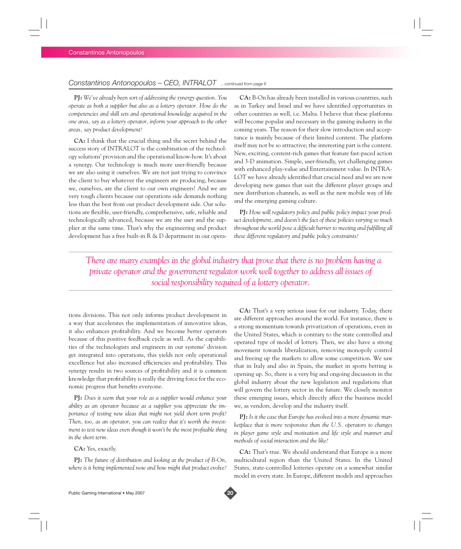## *Constantinos Antonopoulos – CEO, INTRALOT* …continued from page 6

**PJ:** *We've already been sort of addressing the synergy question. You operate as both a supplier but also as a lottery operator. How do the competencies and skill sets and operational knowledge acquired in the one area, say as a lottery operator, inform your approach to the other areas, say product development?* 

**CA:** I think that the crucial thing and the secret behind the success story of INTRALOT is the combination of the technology solutions' provision and the operational know-how. It's about a synergy. Our technology is much more user-friendly because we are also using it ourselves. We are not just trying to convince the client to buy whatever the engineers are producing, because we, ourselves, are the client to our own engineers! And we are very tough clients because our operations side demands nothing less than the best from our product development side. Our solutions are flexible, user-friendly, comprehensive, safe, reliable and technologically advanced, because we are the user and the supplier at the same time. That's why the engineering and product development has a free built-in R & D department in our opera-

**CA:** B-On has already been installed in various countries, such as in Turkey and Israel and we have identified opportunities in other countries as well, i.e. Malta. I believe that these platforms will become popular and necessary in the gaming industry in the coming years. The reason for their slow introduction and acceptance is mainly because of their limited content. The platform itself may not be so attractive; the interesting part is the content. New, exciting, content-rich games that feature fast-paced action and 3-D animation. Simple, user-friendly, yet challenging games with enhanced play-value and Entertainment value. In INTRA-LOT we have already identified that crucial need and we are now developing new games that suit the different player groups and new distribution channels, as well as the new mobile way of life and the emerging gaming culture.

**PJ:** *How will regulatory policy and public policy impact your product development, and doesn't the fact of these policies varying so much*  throughout the world pose a difficult barrier to meeting and fulfilling all *these different regulatory and public policy constraints?* 

*There are many examples in the global industry that prove that there is no problem having a private operator and the government regulator work well together to address all issues of social responsibility required of a lottery operator.*

tions divisions. This not only informs product development in a way that accelerates the implementation of innovative ideas, it also enhances profitability. And we become better operators because of this positive feedback cycle as well. As the capabilities of the technologists and engineers in our systems' division get integrated into operations, this yields not only operational excellence but also increased efficiencies and profitability. This synergy results in two sources of profitability and it is common knowledge that profitability is really the driving force for the economic progress that benefits everyone.

**PJ:** *Does it seem that your role as a supplier would enhance your ability as an operator because as a supplier you appreciate the importance of testing new ideas that might not yield short term profit? Then, too, as an operator, you can realize that it's worth the investment to test new ideas even though it won't be the most profitable thing in the short term.*

**CA:** Yes, exactly.

**PJ:** *The future of distribution and looking at the product of B-On, where is it being implemented now and how might that product evolve?*

**CA:** That's a very serious issue for our industry. Today, there are different approaches around the world. For instance, there is a strong momentum towards privatization of operations, even in the United States, which is contrary to the state controlled and operated type of model of lottery. Then, we also have a strong movement towards liberalization, removing monopoly control and freeing up the markets to allow some competition. We saw that in Italy and also in Spain, the market in sports betting is opening up. So, there is a very big and ongoing discussion in the global industry about the new legislation and regulations that will govern the lottery sector in the future. We closely monitor these emerging issues, which directly affect the business model we, as vendors, develop and the industry itself.

**PJ:** *Is it the case that Europe has evolved into a more dynamic marketplace that is more responsive than the U.S. operators to changes in player game style and motivation and life style and manner and methods of social interaction and the like?*

**CA:** That's true. We should understand that Europe is a more multicultural region than the United States. In the United States, state-controlled lotteries operate on a somewhat similar model in every state. In Europe, different models and approaches

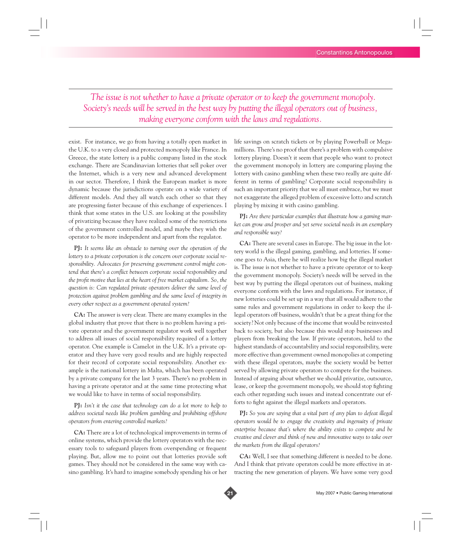*The issue is not whether to have a private operator or to keep the government monopoly. Society's needs will be served in the best way by putting the illegal operators out of business, making everyone conform with the laws and regulations.*

exist. For instance, we go from having a totally open market in the U.K. to a very closed and protected monopoly like France. In Greece, the state lottery is a public company listed in the stock exchange. There are Scandinavian lotteries that sell poker over the Internet, which is a very new and advanced development in our sector. Therefore, I think the European market is more dynamic because the jurisdictions operate on a wide variety of different models. And they all watch each other so that they are progressing faster because of this exchange of experiences. I think that some states in the U.S. are looking at the possibility of privatizing because they have realized some of the restrictions of the government controlled model, and maybe they wish the operator to be more independent and apart from the regulator.

**PJ:** *It seems like an obstacle to turning over the operation of the lottery to a private corporation is the concern over corporate social responsibility. Advocates for preserving government control might con*tend that there's a conflict between corporate social responsibility and the profit motive that lies at the heart of free market capitalism. So, the *question is: Can regulated private operators deliver the same level of protection against problem gambling and the same level of integrity in every other respect as a government operated system?*

**CA:** The answer is very clear. There are many examples in the global industry that prove that there is no problem having a private operator and the government regulator work well together to address all issues of social responsibility required of a lottery operator. One example is Camelot in the U.K. It's a private operator and they have very good results and are highly respected for their record of corporate social responsibility. Another example is the national lottery in Malta, which has been operated by a private company for the last 3 years. There's no problem in having a private operator and at the same time protecting what we would like to have in terms of social responsibility.

**PJ:** *Isn't it the case that technology can do a lot more to help to address societal needs like problem gambling and prohibiting offshore operators from entering controlled markets?*

**CA:** There are a lot of technological improvements in terms of online systems, which provide the lottery operators with the necessary tools to safeguard players from overspending or frequent playing. But, allow me to point out that lotteries provide soft games. They should not be considered in the same way with casino gambling. It's hard to imagine somebody spending his or her

life savings on scratch tickets or by playing Powerball or Megamillions. There's no proof that there's a problem with compulsive lottery playing. Doesn't it seem that people who want to protect the government monopoly in lottery are comparing playing the lottery with casino gambling when these two really are quite different in terms of gambling? Corporate social responsibility is such an important priority that we all must embrace, but we must not exaggerate the alleged problem of excessive lotto and scratch playing by mixing it with casino gambling.

**PJ:** *Are there particular examples that illustrate how a gaming market can grow and prosper and yet serve societal needs in an exemplary and responsible way?*

**CA:** There are several cases in Europe. The big issue in the lottery world is the illegal gaming, gambling, and lotteries. If someone goes to Asia, there he will realize how big the illegal market is. The issue is not whether to have a private operator or to keep the government monopoly. Society's needs will be served in the best way by putting the illegal operators out of business, making everyone conform with the laws and regulations. For instance, if new lotteries could be set up in a way that all would adhere to the same rules and government regulations in order to keep the illegal operators off business, wouldn't that be a great thing for the society? Not only because of the income that would be reinvested back to society, but also because this would stop businesses and players from breaking the law. If private operators, held to the highest standards of accountability and social responsibility, were more effective than government owned monopolies at competing with these illegal operators, maybe the society would be better served by allowing private operators to compete for the business. Instead of arguing about whether we should privatize, outsource, lease, or keep the government monopoly, we should stop fighting each other regarding such issues and instead concentrate our efforts to fight against the illegal markets and operators.

**PJ:** *So you are saying that a vital part of any plan to defeat illegal operators would be to engage the creativity and ingenuity of private enterprise because that's where the ability exists to compete and be creative and clever and think of new and innovative ways to take over the markets from the illegal operators?*

**CA:** Well, I see that something different is needed to be done. And I think that private operators could be more effective in attracting the new generation of players. We have some very good

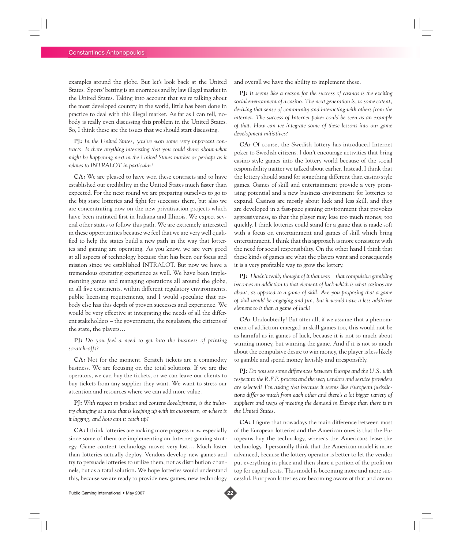examples around the globe. But let's look back at the United States. Sports' betting is an enormous and by law illegal market in the United States. Taking into account that we're talking about the most developed country in the world, little has been done in practice to deal with this illegal market. As far as I can tell, nobody is really even discussing this problem in the United States. So, I think these are the issues that we should start discussing.

**PJ:** *In the United States, you've won some very important contracts. Is there anything interesting that you could share about what might be happening next in the United States market or perhaps as it relates to INTRALOT in particular?*

**CA:** We are pleased to have won these contracts and to have established our credibility in the United States much faster than expected. For the next round we are preparing ourselves to go to the big state lotteries and fight for successes there, but also we are concentrating now on the new privatization projects which have been initiated first in Indiana and Illinois. We expect several other states to follow this path. We are extremely interested in these opportunities because we feel that we are very well qualified to help the states build a new path in the way that lotteries and gaming are operating. As you know, we are very good at all aspects of technology because that has been our focus and mission since we established INTRALOT. But now we have a tremendous operating experience as well. We have been implementing games and managing operations all around the globe, in all five continents, within different regulatory environments, public licensing requirements, and I would speculate that nobody else has this depth of proven successes and experience. We would be very effective at integrating the needs of all the different stakeholders – the government, the regulators, the citizens of the state, the players…

**PJ:** *Do you feel a need to get into the business of printing scratch-offs?*

**CA:** Not for the moment. Scratch tickets are a commodity business. We are focusing on the total solutions. If we are the operators, we can buy the tickets, or we can leave our clients to buy tickets from any supplier they want. We want to stress our attention and resources where we can add more value.

**PJ:** *With respect to product and content development, is the industry changing at a rate that is keeping up with its customers, or where is it lagging, and how can it catch up?*

**CA:** I think lotteries are making more progress now, especially since some of them are implementing an Internet gaming strategy. Game content technology moves very fast… Much faster than lotteries actually deploy. Vendors develop new games and try to persuade lotteries to utilize them, not as distribution channels, but as a total solution. We hope lotteries would understand this, because we are ready to provide new games, new technology and overall we have the ability to implement these.

**PJ:** *It seems like a reason for the success of casinos is the exciting social environment of a casino. The next generation is, to some extent, deriving that sense of community and interacting with others from the internet. The success of Internet poker could be seen as an example of that. How can we integrate some of these lessons into our game development initiatives?*

**CA:** Of course, the Swedish lottery has introduced Internet poker to Swedish citizens. I don't encourage activities that bring casino style games into the lottery world because of the social responsibility matter we talked about earlier. Instead, I think that the lottery should stand for something different than casino style games. Games of skill and entertainment provide a very promising potential and a new business environment for lotteries to expand. Casinos are mostly about luck and less skill, and they are developed in a fast-pace gaming environment that provokes aggressiveness, so that the player may lose too much money, too quickly. I think lotteries could stand for a game that is made soft with a focus on entertainment and games of skill which bring entertainment. I think that this approach is more consistent with the need for social responsibility. On the other hand I think that these kinds of games are what the players want and consequently it is a very profitable way to grow the lottery.

**PJ:** *I hadn't really thought of it that way – that compulsive gambling becomes an addiction to that element of luck which is what casinos are about, as opposed to a game of skill. Are you proposing that a game of skill would be engaging and fun, but it would have a less addictive element to it than a game of luck?*

**CA:** Undoubtedly! But after all, if we assume that a phenomenon of addiction emerged in skill games too, this would not be as harmful as in games of luck, because it is not so much about winning money, but winning the game. And if it is not so much about the compulsive desire to win money, the player is less likely to gamble and spend money lavishly and irresponsibly.

**PJ:** *Do you see some differences between Europe and the U.S. with respect to the R.F.P. process and the way vendors and service providers are selected? I'm asking that because it seems like European jurisdictions differ so much from each other and there's a lot bigger variety of suppliers and ways of meeting the demand in Europe than there is in the United States.*

**CA:** I figure that nowadays the main difference between most of the European lotteries and the American ones is that the Europeans buy the technology, whereas the Americans lease the technology. I personally think that the American model is more advanced, because the lottery operator is better to let the vendor put everything in place and then share a portion of the profit on top for capital costs. This model is becoming more and more successful. European lotteries are becoming aware of that and are no